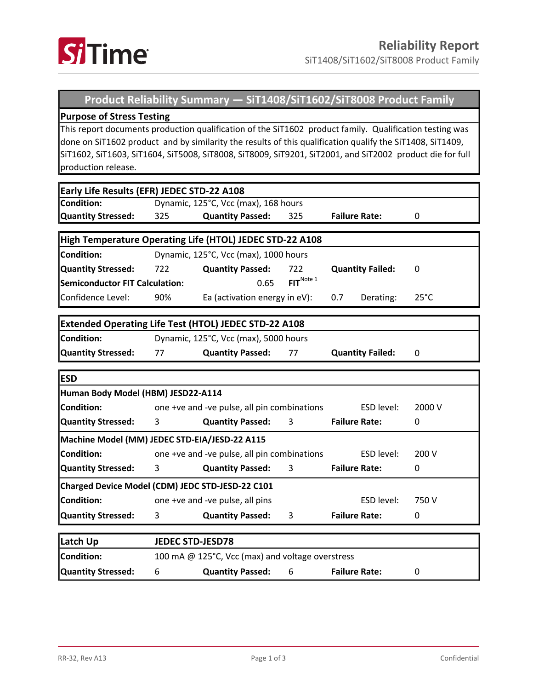

SiT1408/SiT1602/SiT8008 Product Family

## **Product Reliability Summary — SiT1408/SiT1602/SiT8008 Product Family**

## **Purpose of Stress Testing**

This report documents production qualification of the SiT1602 product family. Qualification testing was done on SiT1602 product and by similarity the results of this qualification qualify the SiT1408, SiT1409, SiT1602, SiT1603, SiT1604, SiT5008, SiT8008, SiT8009, SiT9201, SiT2001, and SiT2002 product die for full production release.

| Early Life Results (EFR) JEDEC STD-22 A108                   |                                                  |                                 |                       |                         |                |  |  |  |  |  |
|--------------------------------------------------------------|--------------------------------------------------|---------------------------------|-----------------------|-------------------------|----------------|--|--|--|--|--|
| <b>Condition:</b>                                            | Dynamic, 125°C, Vcc (max), 168 hours             |                                 |                       |                         |                |  |  |  |  |  |
| <b>Quantity Stressed:</b>                                    | 325                                              | <b>Quantity Passed:</b>         | 325                   | <b>Failure Rate:</b>    | 0              |  |  |  |  |  |
|                                                              |                                                  |                                 |                       |                         |                |  |  |  |  |  |
| High Temperature Operating Life (HTOL) JEDEC STD-22 A108     |                                                  |                                 |                       |                         |                |  |  |  |  |  |
| <b>Condition:</b>                                            | Dynamic, 125°C, Vcc (max), 1000 hours            |                                 |                       |                         |                |  |  |  |  |  |
| <b>Quantity Stressed:</b>                                    | 722                                              | <b>Quantity Passed:</b>         | 722                   | <b>Quantity Failed:</b> | 0              |  |  |  |  |  |
| <b>Semiconductor FIT Calculation:</b>                        |                                                  | 0.65                            | FIT <sup>Note 1</sup> |                         |                |  |  |  |  |  |
| Confidence Level:                                            | 90%                                              | Ea (activation energy in eV):   |                       | 0.7<br>Derating:        | $25^{\circ}$ C |  |  |  |  |  |
|                                                              |                                                  |                                 |                       |                         |                |  |  |  |  |  |
| <b>Extended Operating Life Test (HTOL) JEDEC STD-22 A108</b> |                                                  |                                 |                       |                         |                |  |  |  |  |  |
| <b>Condition:</b>                                            | Dynamic, 125°C, Vcc (max), 5000 hours            |                                 |                       |                         |                |  |  |  |  |  |
| <b>Quantity Stressed:</b>                                    | 77                                               | <b>Quantity Passed:</b><br>77   |                       | <b>Quantity Failed:</b> | $\mathbf{0}$   |  |  |  |  |  |
|                                                              |                                                  |                                 |                       |                         |                |  |  |  |  |  |
| <b>ESD</b>                                                   |                                                  |                                 |                       |                         |                |  |  |  |  |  |
| Human Body Model (HBM) JESD22-A114                           |                                                  |                                 |                       |                         |                |  |  |  |  |  |
| Condition:                                                   | one +ve and -ve pulse, all pin combinations      |                                 |                       | ESD level:              | 2000 V         |  |  |  |  |  |
| <b>Quantity Stressed:</b>                                    | 3                                                | <b>Quantity Passed:</b><br>3    |                       | <b>Failure Rate:</b>    | 0              |  |  |  |  |  |
| Machine Model (MM) JEDEC STD-EIA/JESD-22 A115                |                                                  |                                 |                       |                         |                |  |  |  |  |  |
| <b>Condition:</b>                                            | one +ve and -ve pulse, all pin combinations      |                                 |                       | ESD level:              | 200 V          |  |  |  |  |  |
| <b>Quantity Stressed:</b>                                    | 3                                                | <b>Quantity Passed:</b>         | 3                     | <b>Failure Rate:</b>    | $\mathbf{0}$   |  |  |  |  |  |
| Charged Device Model (CDM) JEDC STD-JESD-22 C101             |                                                  |                                 |                       |                         |                |  |  |  |  |  |
| <b>Condition:</b>                                            |                                                  | one +ve and -ve pulse, all pins | ESD level:            | 750V                    |                |  |  |  |  |  |
| <b>Quantity Stressed:</b>                                    | 3                                                | <b>Quantity Passed:</b>         | 3                     | <b>Failure Rate:</b>    | 0              |  |  |  |  |  |
|                                                              |                                                  |                                 |                       |                         |                |  |  |  |  |  |
| Latch Up                                                     | <b>JEDEC STD-JESD78</b>                          |                                 |                       |                         |                |  |  |  |  |  |
| <b>Condition:</b>                                            | 100 mA @ 125°C, Vcc (max) and voltage overstress |                                 |                       |                         |                |  |  |  |  |  |
| <b>Quantity Stressed:</b>                                    | 6                                                | <b>Quantity Passed:</b>         | 6                     |                         | 0              |  |  |  |  |  |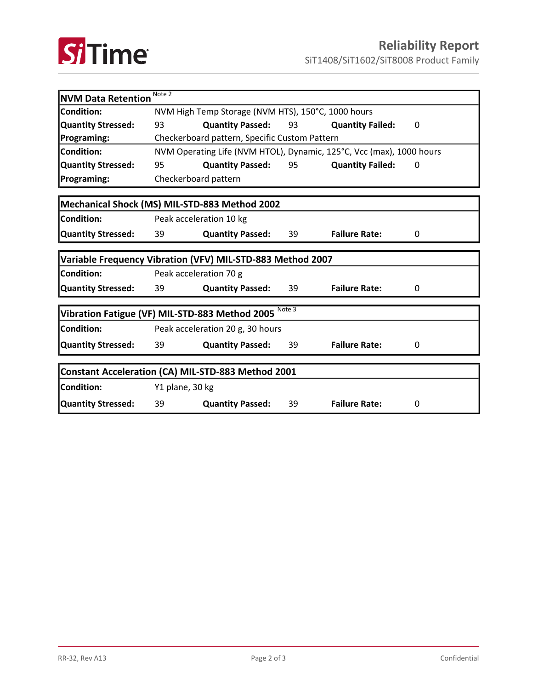

SiT1408/SiT1602/SiT8008 Product Family

| Note 2<br><b>NVM Data Retention</b>                        |                                                                      |                                                                       |                         |                         |   |  |  |  |
|------------------------------------------------------------|----------------------------------------------------------------------|-----------------------------------------------------------------------|-------------------------|-------------------------|---|--|--|--|
| <b>Condition:</b>                                          | NVM High Temp Storage (NVM HTS), 150°C, 1000 hours                   |                                                                       |                         |                         |   |  |  |  |
| Quantity Stressed:                                         | 93                                                                   | <b>Quantity Passed:</b>                                               |                         | <b>Quantity Failed:</b> | 0 |  |  |  |
| Programing:                                                | Checkerboard pattern, Specific Custom Pattern                        |                                                                       |                         |                         |   |  |  |  |
| Condition:                                                 | NVM Operating Life (NVM HTOL), Dynamic, 125°C, Vcc (max), 1000 hours |                                                                       |                         |                         |   |  |  |  |
| <b>Quantity Stressed:</b>                                  | 95                                                                   | <b>Quantity Passed: 95</b>                                            | <b>Quantity Failed:</b> | 0                       |   |  |  |  |
| <b>Programing:</b>                                         | Checkerboard pattern                                                 |                                                                       |                         |                         |   |  |  |  |
|                                                            |                                                                      |                                                                       |                         |                         |   |  |  |  |
| Mechanical Shock (MS) MIL-STD-883 Method 2002              |                                                                      |                                                                       |                         |                         |   |  |  |  |
| Condition:                                                 | Peak acceleration 10 kg                                              |                                                                       |                         |                         |   |  |  |  |
| <b>Quantity Stressed:</b>                                  | 39                                                                   | <b>Quantity Passed:</b>                                               | 39                      | <b>Failure Rate:</b>    | 0 |  |  |  |
|                                                            |                                                                      |                                                                       |                         |                         |   |  |  |  |
| Variable Frequency Vibration (VFV) MIL-STD-883 Method 2007 |                                                                      |                                                                       |                         |                         |   |  |  |  |
| <b>Condition:</b>                                          | Peak acceleration 70 g                                               |                                                                       |                         |                         |   |  |  |  |
| <b>Quantity Stressed:</b>                                  | 39                                                                   | <b>Quantity Passed:</b>                                               | 39                      | <b>Failure Rate:</b>    | 0 |  |  |  |
|                                                            |                                                                      |                                                                       |                         |                         |   |  |  |  |
| Vibration Fatigue (VF) MIL-STD-883 Method 2005 Note 3      |                                                                      |                                                                       |                         |                         |   |  |  |  |
| Condition:                                                 | Peak acceleration 20 g, 30 hours                                     |                                                                       |                         |                         |   |  |  |  |
| <b>Quantity Stressed:</b>                                  | 39                                                                   | <b>Quantity Passed:</b>                                               | 39                      | <b>Failure Rate:</b>    | 0 |  |  |  |
|                                                            |                                                                      |                                                                       |                         |                         |   |  |  |  |
| Constant Acceleration (CA) MIL-STD-883 Method 2001         |                                                                      |                                                                       |                         |                         |   |  |  |  |
| Condition:                                                 | Y1 plane, 30 kg                                                      |                                                                       |                         |                         |   |  |  |  |
| Quantity Stressed:                                         | 39                                                                   | <b>Failure Rate:</b><br><b>Quantity Passed:</b><br>39<br>$\mathbf{0}$ |                         |                         |   |  |  |  |